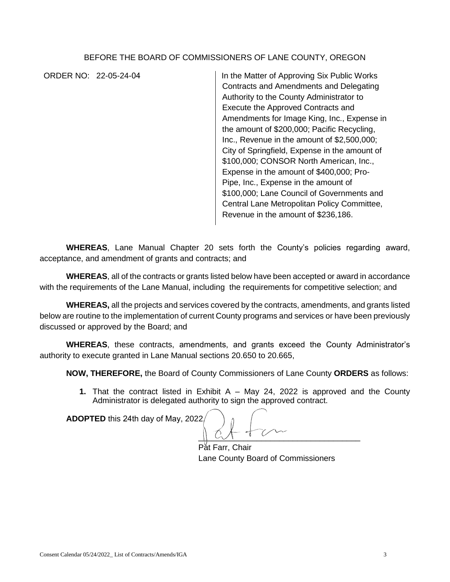## BEFORE THE BOARD OF COMMISSIONERS OF LANE COUNTY, OREGON

ORDER NO: 22-05-24-04 In the Matter of Approving Six Public Works Contracts and Amendments and Delegating Authority to the County Administrator to Execute the Approved Contracts and Amendments for Image King, Inc., Expense in the amount of \$200,000; Pacific Recycling, Inc., Revenue in the amount of \$2,500,000; City of Springfield, Expense in the amount of \$100,000; CONSOR North American, Inc., Expense in the amount of \$400,000; Pro-Pipe, Inc., Expense in the amount of \$100,000; Lane Council of Governments and Central Lane Metropolitan Policy Committee, Revenue in the amount of \$236,186.

**WHEREAS**, Lane Manual Chapter 20 sets forth the County's policies regarding award, acceptance, and amendment of grants and contracts; and

**WHEREAS**, all of the contracts or grants listed below have been accepted or award in accordance with the requirements of the Lane Manual, including the requirements for competitive selection; and

**WHEREAS,** all the projects and services covered by the contracts, amendments, and grants listed below are routine to the implementation of current County programs and services or have been previously discussed or approved by the Board; and

**WHEREAS**, these contracts, amendments, and grants exceed the County Administrator's authority to execute granted in Lane Manual sections 20.650 to 20.665,

**NOW, THEREFORE,** the Board of County Commissioners of Lane County **ORDERS** as follows:

**1.** That the contract listed in Exhibit A – May 24, 2022 is approved and the County Administrator is delegated authority to sign the approved contract.

**ADOPTED** this 24th day of May, 2022.

 $\frac{1}{2}$ 

Pat Farr, Chair Lane County Board of Commissioners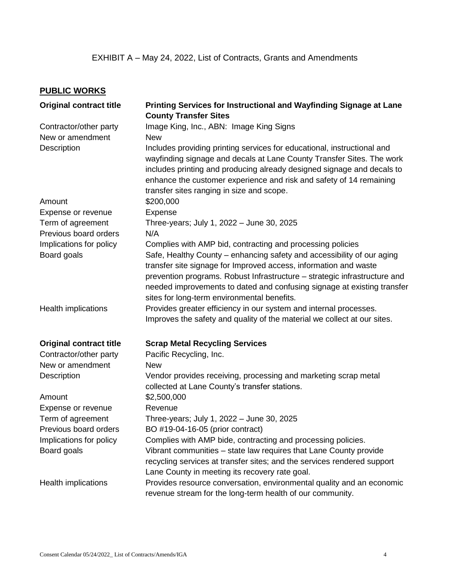## **PUBLIC WORKS**

| <b>Original contract title</b>         | Printing Services for Instructional and Wayfinding Signage at Lane                                                                                                                                                                                                                                                                                                                                              |
|----------------------------------------|-----------------------------------------------------------------------------------------------------------------------------------------------------------------------------------------------------------------------------------------------------------------------------------------------------------------------------------------------------------------------------------------------------------------|
| Contractor/other party                 | <b>County Transfer Sites</b><br>Image King, Inc., ABN: Image King Signs                                                                                                                                                                                                                                                                                                                                         |
| New or amendment                       | <b>New</b>                                                                                                                                                                                                                                                                                                                                                                                                      |
|                                        |                                                                                                                                                                                                                                                                                                                                                                                                                 |
| Description                            | Includes providing printing services for educational, instructional and<br>wayfinding signage and decals at Lane County Transfer Sites. The work<br>includes printing and producing already designed signage and decals to<br>enhance the customer experience and risk and safety of 14 remaining<br>transfer sites ranging in size and scope.                                                                  |
| Amount                                 | \$200,000                                                                                                                                                                                                                                                                                                                                                                                                       |
| Expense or revenue                     | Expense                                                                                                                                                                                                                                                                                                                                                                                                         |
| Term of agreement                      | Three-years; July 1, 2022 - June 30, 2025                                                                                                                                                                                                                                                                                                                                                                       |
| Previous board orders                  | N/A                                                                                                                                                                                                                                                                                                                                                                                                             |
| Implications for policy<br>Board goals | Complies with AMP bid, contracting and processing policies<br>Safe, Healthy County - enhancing safety and accessibility of our aging<br>transfer site signage for Improved access, information and waste<br>prevention programs. Robust Infrastructure - strategic infrastructure and<br>needed improvements to dated and confusing signage at existing transfer<br>sites for long-term environmental benefits. |
| Health implications                    | Provides greater efficiency in our system and internal processes.                                                                                                                                                                                                                                                                                                                                               |
|                                        | Improves the safety and quality of the material we collect at our sites.                                                                                                                                                                                                                                                                                                                                        |
| <b>Original contract title</b>         | <b>Scrap Metal Recycling Services</b>                                                                                                                                                                                                                                                                                                                                                                           |
| Contractor/other party                 | Pacific Recycling, Inc.                                                                                                                                                                                                                                                                                                                                                                                         |
| New or amendment                       | <b>New</b>                                                                                                                                                                                                                                                                                                                                                                                                      |
| <b>Description</b>                     | Vendor provides receiving, processing and marketing scrap metal<br>collected at Lane County's transfer stations.                                                                                                                                                                                                                                                                                                |
| Amount                                 | \$2,500,000                                                                                                                                                                                                                                                                                                                                                                                                     |
| Expense or revenue                     | Revenue                                                                                                                                                                                                                                                                                                                                                                                                         |
| Term of agreement                      | Three-years; July 1, 2022 - June 30, 2025                                                                                                                                                                                                                                                                                                                                                                       |
| Previous board orders                  | BO #19-04-16-05 (prior contract)                                                                                                                                                                                                                                                                                                                                                                                |
| Implications for policy                | Complies with AMP bide, contracting and processing policies.                                                                                                                                                                                                                                                                                                                                                    |
| Board goals                            | Vibrant communities – state law requires that Lane County provide<br>recycling services at transfer sites; and the services rendered support<br>Lane County in meeting its recovery rate goal.                                                                                                                                                                                                                  |
| Health implications                    | Provides resource conversation, environmental quality and an economic<br>revenue stream for the long-term health of our community.                                                                                                                                                                                                                                                                              |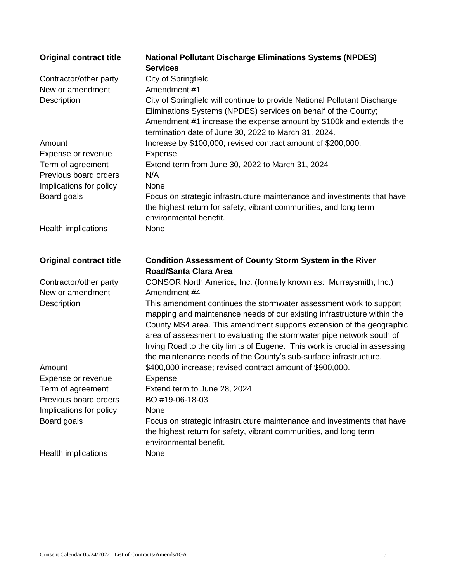| <b>Original contract title</b>         | <b>National Pollutant Discharge Eliminations Systems (NPDES)</b><br><b>Services</b>                                                                                                                                                                                                                                                                                                                                                                                |
|----------------------------------------|--------------------------------------------------------------------------------------------------------------------------------------------------------------------------------------------------------------------------------------------------------------------------------------------------------------------------------------------------------------------------------------------------------------------------------------------------------------------|
| Contractor/other party                 | City of Springfield                                                                                                                                                                                                                                                                                                                                                                                                                                                |
| New or amendment                       | Amendment #1                                                                                                                                                                                                                                                                                                                                                                                                                                                       |
| <b>Description</b>                     | City of Springfield will continue to provide National Pollutant Discharge<br>Eliminations Systems (NPDES) services on behalf of the County;<br>Amendment #1 increase the expense amount by \$100k and extends the<br>termination date of June 30, 2022 to March 31, 2024.                                                                                                                                                                                          |
| Amount                                 | Increase by \$100,000; revised contract amount of \$200,000.                                                                                                                                                                                                                                                                                                                                                                                                       |
| Expense or revenue                     | Expense                                                                                                                                                                                                                                                                                                                                                                                                                                                            |
| Term of agreement                      | Extend term from June 30, 2022 to March 31, 2024                                                                                                                                                                                                                                                                                                                                                                                                                   |
| Previous board orders                  | N/A                                                                                                                                                                                                                                                                                                                                                                                                                                                                |
| Implications for policy                | None                                                                                                                                                                                                                                                                                                                                                                                                                                                               |
| Board goals                            | Focus on strategic infrastructure maintenance and investments that have<br>the highest return for safety, vibrant communities, and long term<br>environmental benefit.                                                                                                                                                                                                                                                                                             |
| Health implications                    | None                                                                                                                                                                                                                                                                                                                                                                                                                                                               |
|                                        |                                                                                                                                                                                                                                                                                                                                                                                                                                                                    |
|                                        |                                                                                                                                                                                                                                                                                                                                                                                                                                                                    |
| <b>Original contract title</b>         | <b>Condition Assessment of County Storm System in the River</b><br><b>Road/Santa Clara Area</b>                                                                                                                                                                                                                                                                                                                                                                    |
| Contractor/other party                 | CONSOR North America, Inc. (formally known as: Murraysmith, Inc.)                                                                                                                                                                                                                                                                                                                                                                                                  |
| New or amendment<br><b>Description</b> | Amendment #4<br>This amendment continues the stormwater assessment work to support<br>mapping and maintenance needs of our existing infrastructure within the<br>County MS4 area. This amendment supports extension of the geographic<br>area of assessment to evaluating the stormwater pipe network south of<br>Irving Road to the city limits of Eugene. This work is crucial in assessing<br>the maintenance needs of the County's sub-surface infrastructure. |
| Amount                                 | \$400,000 increase; revised contract amount of \$900,000.                                                                                                                                                                                                                                                                                                                                                                                                          |
| Expense or revenue                     | Expense                                                                                                                                                                                                                                                                                                                                                                                                                                                            |
| Term of agreement                      | Extend term to June 28, 2024                                                                                                                                                                                                                                                                                                                                                                                                                                       |
| Previous board orders                  | BO #19-06-18-03                                                                                                                                                                                                                                                                                                                                                                                                                                                    |
| Implications for policy                | None                                                                                                                                                                                                                                                                                                                                                                                                                                                               |
| Board goals                            | Focus on strategic infrastructure maintenance and investments that have<br>the highest return for safety, vibrant communities, and long term<br>environmental benefit.                                                                                                                                                                                                                                                                                             |